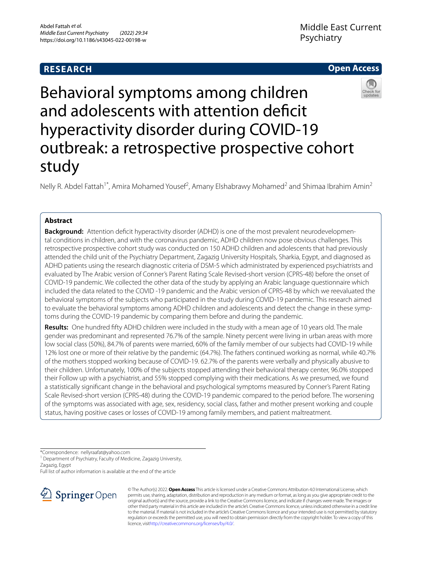## **RESEARCH**





# Behavioral symptoms among children and adolescents with attention defcit hyperactivity disorder during COVID-19 outbreak: a retrospective prospective cohort study

Nelly R. Abdel Fattah<sup>1\*</sup>, Amira Mohamed Yousef<sup>2</sup>, Amany Elshabrawy Mohamed<sup>2</sup> and Shimaa Ibrahim Amin<sup>2</sup>

## **Abstract**

**Background:** Attention defcit hyperactivity disorder (ADHD) is one of the most prevalent neurodevelopmental conditions in children, and with the coronavirus pandemic, ADHD children now pose obvious challenges. This retrospective prospective cohort study was conducted on 150 ADHD children and adolescents that had previously attended the child unit of the Psychiatry Department, Zagazig University Hospitals, Sharkia, Egypt, and diagnosed as ADHD patients using the research diagnostic criteria of DSM-5 which administrated by experienced psychiatrists and evaluated by The Arabic version of Conner's Parent Rating Scale Revised-short version (CPRS-48) before the onset of COVID-19 pandemic. We collected the other data of the study by applying an Arabic language questionnaire which included the data related to the COVID -19 pandemic and the Arabic version of CPRS-48 by which we reevaluated the behavioral symptoms of the subjects who participated in the study during COVID-19 pandemic. This research aimed to evaluate the behavioral symptoms among ADHD children and adolescents and detect the change in these symptoms during the COVID-19 pandemic by comparing them before and during the pandemic.

**Results:** One hundred ffty ADHD children were included in the study with a mean age of 10 years old. The male gender was predominant and represented 76.7% of the sample. Ninety percent were living in urban areas with more low social class (50%), 84.7% of parents were married, 60% of the family member of our subjects had COVID-19 while 12% lost one or more of their relative by the pandemic (64.7%). The fathers continued working as normal, while 40.7% of the mothers stopped working because of COVID-19. 62.7% of the parents were verbally and physically abusive to their children. Unfortunately, 100% of the subjects stopped attending their behavioral therapy center, 96.0% stopped their Follow up with a psychiatrist, and 55% stopped complying with their medications. As we presumed, we found a statistically signifcant change in the behavioral and psychological symptoms measured by Conner's Parent Rating Scale Revised-short version (CPRS-48) during the COVID-19 pandemic compared to the period before. The worsening of the symptoms was associated with age, sex, residency, social class, father and mother present working and couple status, having positive cases or losses of COVID-19 among family members, and patient maltreatment.

\*Correspondence: nellyraafat@yahoo.com

<sup>1</sup> Department of Psychiatry, Faculty of Medicine, Zagazig University,

Zagazig, Egypt

Full list of author information is available at the end of the article



© The Author(s) 2022. **Open Access** This article is licensed under a Creative Commons Attribution 4.0 International License, which permits use, sharing, adaptation, distribution and reproduction in any medium or format, as long as you give appropriate credit to the original author(s) and the source, provide a link to the Creative Commons licence, and indicate if changes were made. The images or other third party material in this article are included in the article's Creative Commons licence, unless indicated otherwise in a credit line to the material. If material is not included in the article's Creative Commons licence and your intended use is not permitted by statutory regulation or exceeds the permitted use, you will need to obtain permission directly from the copyright holder. To view a copy of this licence, visi[thttp://creativecommons.org/licenses/by/4.0/](http://creativecommons.org/licenses/by/4.0/).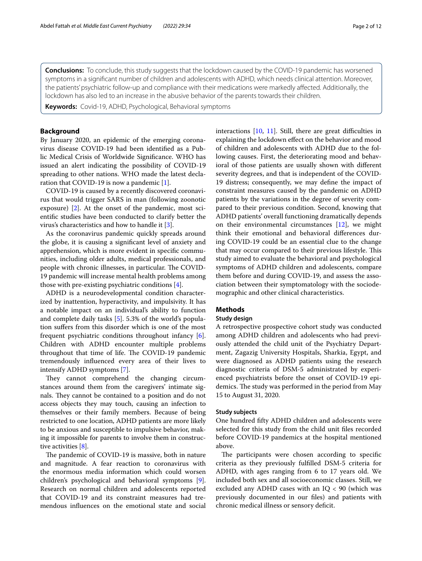**Conclusions:** To conclude, this study suggests that the lockdown caused by the COVID-19 pandemic has worsened symptoms in a signifcant number of children and adolescents with ADHD, which needs clinical attention. Moreover, the patients' psychiatric follow-up and compliance with their medications were markedly afected. Additionally, the lockdown has also led to an increase in the abusive behavior of the parents towards their children.

**Keywords:** Covid-19, ADHD, Psychological, Behavioral symptoms

### **Background**

By January 2020, an epidemic of the emerging coronavirus disease COVID-19 had been identifed as a Public Medical Crisis of Worldwide Signifcance. WHO has issued an alert indicating the possibility of COVID-19 spreading to other nations. WHO made the latest declaration that COVID-19 is now a pandemic [[1\]](#page-10-0).

COVID-19 is caused by a recently discovered coronavirus that would trigger SARS in man (following zoonotic exposure) [\[2\]](#page-10-1). At the onset of the pandemic, most scientifc studies have been conducted to clarify better the virus's characteristics and how to handle it [\[3](#page-10-2)].

As the coronavirus pandemic quickly spreads around the globe, it is causing a signifcant level of anxiety and apprehension, which is more evident in specifc communities, including older adults, medical professionals, and people with chronic illnesses, in particular. The COVID-19 pandemic will increase mental health problems among those with pre-existing psychiatric conditions [\[4](#page-10-3)].

ADHD is a neurodevelopmental condition characterized by inattention, hyperactivity, and impulsivity. It has a notable impact on an individual's ability to function and complete daily tasks [[5\]](#page-10-4). 5.3% of the world's population sufers from this disorder which is one of the most frequent psychiatric conditions throughout infancy [\[6](#page-10-5)]. Children with ADHD encounter multiple problems throughout that time of life. The COVID-19 pandemic tremendously infuenced every area of their lives to intensify ADHD symptoms [\[7](#page-10-6)].

They cannot comprehend the changing circumstances around them from the caregivers' intimate signals. They cannot be contained to a position and do not access objects they may touch, causing an infection to themselves or their family members. Because of being restricted to one location, ADHD patients are more likely to be anxious and susceptible to impulsive behavior, making it impossible for parents to involve them in constructive activities [[8\]](#page-10-7).

The pandemic of COVID-19 is massive, both in nature and magnitude. A fear reaction to coronavirus with the enormous media information which could worsen children's psychological and behavioral symptoms [\[9](#page-10-8)]. Research on normal children and adolescents reported that COVID-19 and its constraint measures had tremendous infuences on the emotional state and social interactions  $[10, 11]$  $[10, 11]$  $[10, 11]$  $[10, 11]$ . Still, there are great difficulties in explaining the lockdown efect on the behavior and mood of children and adolescents with ADHD due to the following causes. First, the deteriorating mood and behavioral of those patients are usually shown with diferent severity degrees, and that is independent of the COVID-19 distress; consequently, we may defne the impact of constraint measures caused by the pandemic on ADHD patients by the variations in the degree of severity compared to their previous condition. Second, knowing that ADHD patients' overall functioning dramatically depends on their environmental circumstances [\[12](#page-10-11)], we might think their emotional and behavioral diferences during COVID-19 could be an essential clue to the change that may occur compared to their previous lifestyle. This study aimed to evaluate the behavioral and psychological symptoms of ADHD children and adolescents, compare them before and during COVID-19, and assess the association between their symptomatology with the sociodemographic and other clinical characteristics.

#### **Methods**

#### **Study design**

A retrospective prospective cohort study was conducted among ADHD children and adolescents who had previously attended the child unit of the Psychiatry Department, Zagazig University Hospitals, Sharkia, Egypt, and were diagnosed as ADHD patients using the research diagnostic criteria of DSM-5 administrated by experienced psychiatrists before the onset of COVID-19 epidemics. The study was performed in the period from May 15 to August 31, 2020.

#### **Study subjects**

One hundred ffty ADHD children and adolescents were selected for this study from the child unit fles recorded before COVID-19 pandemics at the hospital mentioned above.

The participants were chosen according to specific criteria as they previously fulflled DSM-5 criteria for ADHD, with ages ranging from 6 to 17 years old. We included both sex and all socioeconomic classes. Still, we excluded any ADHD cases with an  $IQ < 90$  (which was previously documented in our fles) and patients with chronic medical illness or sensory deficit.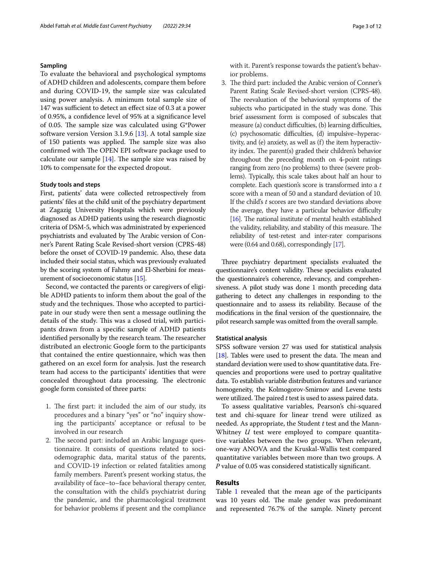#### **Sampling**

To evaluate the behavioral and psychological symptoms of ADHD children and adolescents, compare them before and during COVID-19, the sample size was calculated using power analysis. A minimum total sample size of 147 was sufficient to detect an effect size of 0.3 at a power of 0.95%, a confdence level of 95% at a signifcance level of 0.05. The sample size was calculated using  $G^*$ Power software version Version 3.1.9.6 [[13\]](#page-10-12). A total sample size of 150 patients was applied. The sample size was also confirmed with The OPEN EPI software package used to calculate our sample  $[14]$  $[14]$ . The sample size was raised by 10% to compensate for the expected dropout.

#### **Study tools and steps**

First, patients' data were collected retrospectively from patients' fles at the child unit of the psychiatry department at Zagazig University Hospitals which were previously diagnosed as ADHD patients using the research diagnostic criteria of DSM-5, which was administrated by experienced psychiatrists and evaluated by The Arabic version of Conner's Parent Rating Scale Revised-short version (CPRS-48) before the onset of COVID-19 pandemic. Also, these data included their social status, which was previously evaluated by the scoring system of Fahmy and El-Sherbini for measurement of socioeconomic status [\[15](#page-10-14)].

Second, we contacted the parents or caregivers of eligible ADHD patients to inform them about the goal of the study and the techniques. Those who accepted to participate in our study were then sent a message outlining the details of the study. This was a closed trial, with participants drawn from a specifc sample of ADHD patients identified personally by the research team. The researcher distributed an electronic Google form to the participants that contained the entire questionnaire, which was then gathered on an excel form for analysis. Just the research team had access to the participants' identities that were concealed throughout data processing. The electronic google form consisted of three parts:

- 1. The first part: it included the aim of our study, its procedures and a binary "yes" or "no" inquiry showing the participants' acceptance or refusal to be involved in our research
- 2. The second part: included an Arabic language questionnaire. It consists of questions related to sociodemographic data, marital status of the parents, and COVID-19 infection or related fatalities among family members. Parent's present working status, the availability of face–to–face behavioral therapy center, the consultation with the child's psychiatrist during the pandemic, and the pharmacological treatment for behavior problems if present and the compliance

with it. Parent's response towards the patient's behavior problems.

3. The third part: included the Arabic version of Conner's Parent Rating Scale Revised-short version (CPRS-48). The reevaluation of the behavioral symptoms of the subjects who participated in the study was done. This brief assessment form is composed of subscales that measure (a) conduct difficulties, (b) learning difficulties, (c) psychosomatic difculties, (d) impulsive–hyperactivity, and (e) anxiety, as well as (f) the item hyperactivity index. The parent(s) graded their children's behavior throughout the preceding month on 4-point ratings ranging from zero (no problems) to three (severe problems). Typically, this scale takes about half an hour to complete. Each question's score is transformed into a *t* score with a mean of 50 and a standard deviation of 10. If the child's *t* scores are two standard deviations above the average, they have a particular behavior difficulty [[16\]](#page-10-15). The national institute of mental health established the validity, reliability, and stability of this measure. The reliability of test-retest and inter-rater comparisons were (0.64 and 0.68), correspondingly [\[17](#page-10-16)].

Three psychiatry department specialists evaluated the questionnaire's content validity. These specialists evaluated the questionnaire's coherence, relevancy, and comprehensiveness. A pilot study was done 1 month preceding data gathering to detect any challenges in responding to the questionnaire and to assess its reliability. Because of the modifcations in the fnal version of the questionnaire, the pilot research sample was omitted from the overall sample.

#### **Statistical analysis**

SPSS software version 27 was used for statistical analysis [[18](#page-10-17)]. Tables were used to present the data. The mean and standard deviation were used to show quantitative data. Frequencies and proportions were used to portray qualitative data. To establish variable distribution features and variance homogeneity, the Kolmogorov-Smirnov and Levene tests were utilized. The paired *t* test is used to assess paired data.

To assess qualitative variables, Pearson's chi-squared test and chi-square for linear trend were utilized as needed. As appropriate, the Student *t* test and the Mann-Whitney *U* test were employed to compare quantitative variables between the two groups. When relevant, one-way ANOVA and the Kruskal-Wallis test compared quantitative variables between more than two groups. A *P* value of 0.05 was considered statistically signifcant.

## **Results**

Table [1](#page-3-0) revealed that the mean age of the participants was 10 years old. The male gender was predominant and represented 76.7% of the sample. Ninety percent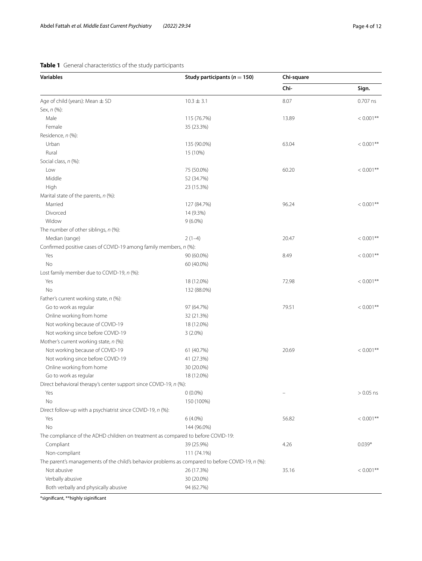## <span id="page-3-0"></span>**Table 1** General characteristics of the study participants

| <b>Variables</b>                                                                                 | Study participants ( $n = 150$ ) | Chi-square |              |
|--------------------------------------------------------------------------------------------------|----------------------------------|------------|--------------|
|                                                                                                  |                                  | Chi-       | Sign.        |
| Age of child (years): Mean $\pm$ SD                                                              | $10.3 \pm 3.1$                   | 8.07       | 0.707 ns     |
| Sex, n (%):                                                                                      |                                  |            |              |
| Male                                                                                             | 115 (76.7%)                      | 13.89      | $< 0.001$ ** |
| Female                                                                                           | 35 (23.3%)                       |            |              |
| Residence, n (%):                                                                                |                                  |            |              |
| Urban                                                                                            | 135 (90.0%)                      | 63.04      | $< 0.001$ ** |
| Rural                                                                                            | 15 (10%)                         |            |              |
| Social class, n (%):                                                                             |                                  |            |              |
| Low                                                                                              | 75 (50.0%)                       | 60.20      | $< 0.001$ ** |
| Middle                                                                                           | 52 (34.7%)                       |            |              |
| High                                                                                             | 23 (15.3%)                       |            |              |
| Marital state of the parents, $n$ (%):                                                           |                                  |            |              |
| Married                                                                                          | 127 (84.7%)                      | 96.24      | $< 0.001**$  |
| Divorced                                                                                         | 14 (9.3%)                        |            |              |
| Widow                                                                                            | $9(6.0\%)$                       |            |              |
| The number of other siblings, n (%):                                                             |                                  |            |              |
| Median (range)                                                                                   | $2(1-4)$                         | 20.47      | $< 0.001$ ** |
| Confirmed positive cases of COVID-19 among family members, n (%):                                |                                  |            |              |
| Yes                                                                                              | 90 (60.0%)                       | 8.49       | $< 0.001$ ** |
| No                                                                                               | 60 (40.0%)                       |            |              |
| Lost family member due to COVID-19, n (%):                                                       |                                  |            |              |
| Yes                                                                                              | 18 (12.0%)                       | 72.98      | $< 0.001$ ** |
| No                                                                                               | 132 (88.0%)                      |            |              |
| Father's current working state, n (%):                                                           |                                  |            |              |
| Go to work as regular                                                                            | 97 (64.7%)                       | 79.51      | $< 0.001$ ** |
| Online working from home                                                                         | 32 (21.3%)                       |            |              |
| Not working because of COVID-19                                                                  | 18 (12.0%)                       |            |              |
| Not working since before COVID-19                                                                | $3(2.0\%)$                       |            |              |
| Mother's current working state, n (%):                                                           |                                  |            |              |
| Not working because of COVID-19                                                                  | 61 (40.7%)                       | 20.69      | $< 0.001**$  |
| Not working since before COVID-19                                                                | 41 (27.3%)                       |            |              |
| Online working from home                                                                         | 30 (20.0%)                       |            |              |
| Go to work as regular                                                                            | 18 (12.0%)                       |            |              |
| Direct behavioral therapy's center support since COVID-19, n (%):                                |                                  |            |              |
|                                                                                                  | $0(0.0\%)$                       |            | $> 0.05$ ns  |
| No                                                                                               | 150 (100%)                       |            |              |
| Direct follow-up with a psychiatrist since COVID-19, n (%):                                      |                                  |            |              |
| Yes                                                                                              | $6(4.0\%)$                       | 56.82      | $< 0.001$ ** |
| No                                                                                               | 144 (96.0%)                      |            |              |
| The compliance of the ADHD children on treatment as compared to before COVID-19:                 |                                  |            |              |
| Compliant                                                                                        | 39 (25.9%)                       | 4.26       | $0.039*$     |
| Non-compliant                                                                                    | 111 (74.1%)                      |            |              |
| The parent's managements of the child's behavior problems as compared to before COVID-19, n (%): |                                  |            |              |
| Not abusive                                                                                      | 26 (17.3%)                       | 35.16      | $< 0.001**$  |
| Verbally abusive                                                                                 | 30 (20.0%)                       |            |              |
| Both verbally and physically abusive                                                             | 94 (62.7%)                       |            |              |
|                                                                                                  |                                  |            |              |

\*signifcant, \*\*highly siginifcant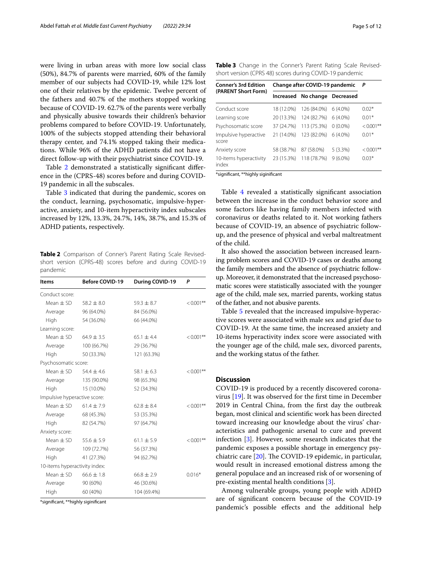were living in urban areas with more low social class (50%), 84.7% of parents were married, 60% of the family member of our subjects had COVID-19, while 12% lost one of their relatives by the epidemic. Twelve percent of the fathers and 40.7% of the mothers stopped working because of COVID-19. 62.7% of the parents were verbally and physically abusive towards their children's behavior problems compared to before COVID-19. Unfortunately, 100% of the subjects stopped attending their behavioral therapy center, and 74.1% stopped taking their medications. While 96% of the ADHD patients did not have a direct follow-up with their psychiatrist since COVID-19.

Table [2](#page-4-0) demonstrated a statistically significant difference in the (CPRS-48) scores before and during COVID-19 pandemic in all the subscales.

Table [3](#page-4-1) indicated that during the pandemic, scores on the conduct, learning, psychosomatic, impulsive-hyperactive, anxiety, and 10-item hyperactivity index subscales increased by 12%, 13.3%, 24.7%, 14%, 38.7%, and 15.3% of ADHD patients, respectively.

<span id="page-4-0"></span>**Table 2** Comparison of Conner's Parent Rating Scale Revisedshort version (CPRS-48) scores before and during COVID-19 pandemic

| ltems                         | <b>Before COVID-19</b> | During COVID-19 | P            |
|-------------------------------|------------------------|-----------------|--------------|
| Conduct score:                |                        |                 |              |
| Mean $\pm$ SD                 | $58.2 \pm 8.0$         | $59.3 \pm 8.7$  | $< 0.001$ ** |
| Average                       | 96 (64.0%)             | 84 (56.0%)      |              |
| High                          | 54 (36.0%)             | 66 (44.0%)      |              |
| Learning score:               |                        |                 |              |
| Mean $\pm$ SD                 | $64.9 \pm 3.5$         | $65.1 \pm 4.4$  | $< 0.001$ ** |
| Average                       | 100 (66.7%)            | 29 (36.7%)      |              |
| High                          | 50 (33.3%)             | 121 (63.3%)     |              |
| Psychosomatic score:          |                        |                 |              |
| Mean $\pm$ SD                 | $54.4 \pm 4.6$         | $58.1 \pm 6.3$  | $< 0.001$ ** |
| Average                       | 135 (90.0%)            | 98 (65.3%)      |              |
| High                          | 15 (10.0%)             | 52 (34.3%)      |              |
| Impulsive hyperactive score:  |                        |                 |              |
| Mean $\pm$ SD                 | $61.4 \pm 7.9$         | $62.8 \pm 8.4$  | $< 0.001$ ** |
| Average                       | 68 (45.3%)             | 53 (35.3%)      |              |
| High                          | 82 (54.7%)             | 97 (64.7%)      |              |
| Anxiety score:                |                        |                 |              |
| Mean $\pm$ SD                 | $55.6 \pm 5.9$         | $61.1 \pm 5.9$  | $< 0.001$ ** |
| Average                       | 109 (72.7%)            | 56 (37.3%)      |              |
| High                          | 41 (27.3%)             | 94 (62.7%)      |              |
| 10-items hyperactivity index: |                        |                 |              |
| Mean $\pm$ SD                 | $66.6 \pm 1.8$         | $66.8 \pm 2.9$  | $0.016*$     |
| Average                       | 90 (60%)               | 46 (30.6%)      |              |
| High                          | 60 (40%)               | 104 (69.4%)     |              |

\*signifcant, \*\*highly siginifcant

<span id="page-4-1"></span>**Table 3** Change in the Conner's Parent Rating Scale Revisedshort version (CPRS 48) scores during COVID-19 pandemic

| <b>Conner's 3rd Edition</b>     |            | Change after COVID-19 pandemic |            | P            |
|---------------------------------|------------|--------------------------------|------------|--------------|
| (PARENT Short Form)             |            | Increased No change Decreased  |            |              |
| Conduct score                   | 18 (12.0%) | 126 (84.0%)                    | $6(4.0\%)$ | $0.02*$      |
| Learning score                  | 20 (13.3%) | 124 (82.7%)                    | $6(4.0\%)$ | $0.01*$      |
| Psychosomatic score             | 37 (24.7%) | 113 (75.3%)                    | $0(0.0\%)$ | $< 0.001**$  |
| Impulsive hyperactive<br>score  | 21 (14.0%) | 123 (82.0%)                    | $6(4.0\%)$ | $0.01*$      |
| Anxiety score                   | 58 (38.7%) | 87 (58.0%)                     | 5(3.3%)    | $< 0.001$ ** |
| 10-items hyperactivity<br>index | 23 (15.3%) | 118 (78.7%)                    | $9(6.0\%)$ | $0.03*$      |

\*signifcant, \*\*highly siginifcant

Table [4](#page-5-0) revealed a statistically significant association between the increase in the conduct behavior score and some factors like having family members infected with coronavirus or deaths related to it. Not working fathers because of COVID-19, an absence of psychiatric followup, and the presence of physical and verbal maltreatment of the child.

It also showed the association between increased learning problem scores and COVID-19 cases or deaths among the family members and the absence of psychiatric followup. Moreover, it demonstrated that the increased psychosomatic scores were statistically associated with the younger age of the child, male sex, married parents, working status of the father, and not abusive parents.

Table [5](#page-7-0) revealed that the increased impulsive-hyperactive scores were associated with male sex and grief due to COVID-19. At the same time, the increased anxiety and 10-items hyperactivity index score were associated with the younger age of the child, male sex, divorced parents, and the working status of the father.

#### **Discussion**

COVID-19 is produced by a recently discovered coronavirus [[19\]](#page-10-18). It was observed for the frst time in December 2019 in Central China, from the frst day the outbreak began, most clinical and scientifc work has been directed toward increasing our knowledge about the virus' characteristics and pathogenic arsenal to cure and prevent infection [[3\]](#page-10-2). However, some research indicates that the pandemic exposes a possible shortage in emergency psychiatric care  $[20]$  $[20]$ . The COVID-19 epidemic, in particular, would result in increased emotional distress among the general populace and an increased risk of or worsening of pre-existing mental health conditions [[3\]](#page-10-2).

Among vulnerable groups, young people with ADHD are of signifcant concern because of the COVID-19 pandemic's possible efects and the additional help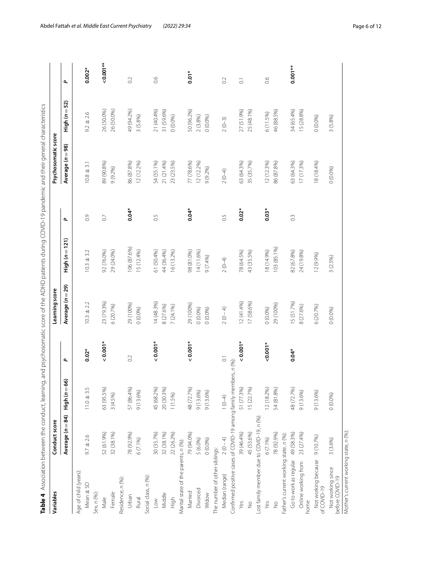<span id="page-5-0"></span>

| i<br>֢                                                                          |
|---------------------------------------------------------------------------------|
|                                                                                 |
|                                                                                 |
| Ï                                                                               |
| í                                                                               |
| Ó<br>¢                                                                          |
| ſ<br>J                                                                          |
|                                                                                 |
| ļ                                                                               |
|                                                                                 |
| ļ                                                                               |
| Ó<br>Ì                                                                          |
| ׇ֚֬֓֡֡<br>١                                                                     |
| i                                                                               |
| į                                                                               |
| í                                                                               |
|                                                                                 |
| S                                                                               |
| $\epsilon$                                                                      |
|                                                                                 |
| į                                                                               |
| ï<br>ׇ֚֬֡                                                                       |
| Ī<br>j                                                                          |
|                                                                                 |
| d<br>١                                                                          |
| ļ<br>)                                                                          |
| Í                                                                               |
| ۱,<br>l                                                                         |
| J                                                                               |
| $\frac{1}{2}$                                                                   |
|                                                                                 |
| )<br>)                                                                          |
|                                                                                 |
| ì<br>֚֬֕<br>١                                                                   |
|                                                                                 |
| ĺ                                                                               |
| l                                                                               |
| $\overline{1}$                                                                  |
| ł                                                                               |
| ١                                                                               |
| Ï<br>j<br>l<br>ĵ                                                                |
| i<br>G<br>5                                                                     |
| j                                                                               |
|                                                                                 |
| $\mathbf{I}$                                                                    |
|                                                                                 |
| $\overline{1}$<br>J                                                             |
|                                                                                 |
|                                                                                 |
| I                                                                               |
|                                                                                 |
| ¢                                                                               |
| l<br>1                                                                          |
| ś<br>I<br>ׇ֚֬֡                                                                  |
| j                                                                               |
| i                                                                               |
|                                                                                 |
|                                                                                 |
| Ï                                                                               |
| í                                                                               |
|                                                                                 |
| Ò                                                                               |
| l<br>j<br>֧֖֖֚֚֚֚֬֝֬                                                            |
| Ì                                                                               |
|                                                                                 |
| ļ                                                                               |
|                                                                                 |
|                                                                                 |
|                                                                                 |
| 5                                                                               |
|                                                                                 |
| ກ                                                                               |
|                                                                                 |
|                                                                                 |
|                                                                                 |
| 3<br>ì                                                                          |
| NG MUNICO                                                                       |
| j                                                                               |
| $\frac{1}{2}$<br>֖֖֖֖֖֖֧ׅ֪ׅ֖֧֪֪֪֪֪֪֪֪֪֪֪֪֪֪֪ׅ֧֚֚֚֚֚֚֚֚֚֚֚֚֚֚֚֚֚֚֚֚֚֚֚֚֚֚֚֚֬֝֝֓֞ |
| ֖֖֖֢ׅׅׅ֪ׅ֪ׅ֪ׅ֪ׅ֪֪ׅ֖֚֚֚֚֚֚֚֚֚֚֚֚֚֡֬֝֬֝֬֝֬֝                                       |
| į                                                                               |
| i<br>ξ                                                                          |
|                                                                                 |
| $\frac{1}{2}$<br>í                                                              |
|                                                                                 |
|                                                                                 |
| d                                                                               |
|                                                                                 |
|                                                                                 |
|                                                                                 |
|                                                                                 |
|                                                                                 |
|                                                                                 |
|                                                                                 |
|                                                                                 |
|                                                                                 |
|                                                                                 |
|                                                                                 |
|                                                                                 |
|                                                                                 |
|                                                                                 |
|                                                                                 |

| Variables                                                         | Conduct score    |                   |                       | Learning score   |                  |                | Psychosomatic score |                   |                          |
|-------------------------------------------------------------------|------------------|-------------------|-----------------------|------------------|------------------|----------------|---------------------|-------------------|--------------------------|
|                                                                   | Average (n = 84) | High ( $n = 66$ ) | $\mathbf{r}$          | Average (n = 29) | $High (n = 121)$ | $\mathbf{r}$   | Average (n = 98)    | High ( $n = 52$ ) | $\overline{\phantom{a}}$ |
| Age of child (years):                                             |                  |                   |                       |                  |                  |                |                     |                   |                          |
| Mean ± SD                                                         | $9.7 \pm 2.6$    | $11.0 \pm 3.5$    | $0.02*$               | $10.3 \pm 2.2$   | $10.3 \pm 3.2$   | $\overline{O}$ | $10.8 \pm 3.1$      | $9.2 \pm 2.6$     | $0.002*$                 |
| Sex, n (%):                                                       |                  |                   |                       |                  |                  |                |                     |                   |                          |
| Male                                                              | 52 (61.9%)       | 63 (95.5%)        | $0.001*$              | 23 (79.3%)       | 92 (76.0%)       | $\overline{0}$ | 89 (90.8%)          | 26 (50.0%)        | $0.001***$               |
| Female                                                            | 32 (38.1%)       | 3(4.5%)           |                       | 6 (20.7%)        | 29 (24.0%)       |                | 9(9.2%)             | 26 (50.0%)        |                          |
| Residence, n (%):                                                 |                  |                   |                       |                  |                  |                |                     |                   |                          |
| Urban                                                             | 78 (92.9%)       | 57 (86.4%)        | $\sim$                | 29 (100%)        | 106 (87.6%)      | $0.04*$        | 86 (87.8%)          | 49 (94.2%)        | 0.2                      |
| Rural                                                             | $6(7.1\%)$       | 9(13.6%)          |                       | 0(0.0%)          | 15 (12.4%)       |                | 12 (12.2%)          | 3 (5.8%)          |                          |
| Social class, n (%):                                              |                  |                   |                       |                  |                  |                |                     |                   |                          |
| $\sqrt{2}$                                                        | 30 (35.7%)       | 45 (68.2%)        | $0.001*$              | 14(48.3%)        | 61 (50.4%)       | 0.5            | 54 (55.1%)          | 21 (40.4%)        | 0.6                      |
| Middle                                                            | 32 (38.1%)       | 20 (30.3%)        |                       | 8 (27.6%)        | 44 (36.4%)       |                | 21 (21.4%)          | 31 (59.6%)        |                          |
| High                                                              | 22 (26.2%)       | $1(1.5\%)$        |                       | 7 (24.1%)        | 16 (13.2%)       |                | 23 (23.5%)          | 0(0.0%            |                          |
| Marital state of the parents, n (%):                              |                  |                   |                       |                  |                  |                |                     |                   |                          |
| Married                                                           | 79 (94.0%)       | 48 (72.7%)        | $0.001*$              | 29 (100%)        | 98 (81.0%)       | $0.04*$        | 77 (78.6%)          | 50 (96.2%)        | $0.01*$                  |
| Divorced                                                          | 5 (6.0%)         | 9(13.6%)          |                       | 0(0.0%)          | 14 (11.6%)       |                | 12 (12.2%)          | 2(3.8%)           |                          |
| Widow                                                             | 0(0.0%           | 9 (13.6%)         |                       | 0(0.0%)          | 9 (7.4%)         |                | 9 (9.2%)            | 0(0.0%            |                          |
| The number of other siblings:                                     |                  |                   |                       |                  |                  |                |                     |                   |                          |
| Median (range)                                                    | $2(0-4)$         | $(0 - 4)$         | $\overline{\text{o}}$ | $2(0-4)$         | $2(0-4)$         | 6.5            | $2(0-4)$            | $2(0-3)$          | O.2                      |
| Confirmed positive cases of COVID-19 among family members, n (%): |                  |                   |                       |                  |                  |                |                     |                   |                          |
| Yes                                                               | 39 (46.4%)       | 51 (77.3%)        | $0.001*$              | 12(41.4%)        | 78 (64.5%)       | $0.02*$        | 63 (64.3%)          | 27 (51.9%)        | $\overline{\text{o}}$    |
| $\frac{1}{2}$                                                     | 45 (53.6%)       | 5 (22.7%)         |                       | 17 (58.6%)       | 43 (35.5%)       |                | 35 (35.7%)          | 25 (48.1%)        |                          |
| Lost family member due to COVID-19, n (%):                        |                  |                   |                       |                  |                  |                |                     |                   |                          |
| Yes                                                               | $6(7.1\%)$       | 12(18.2%)         | $0.001*$              | 0(0.0%)          | (96571) 81       | $0.03*$        | 12 (12.3%)          | 6(11.5%)          | 0.6                      |
| $\frac{9}{2}$                                                     | 78 (92.9%)       | 54 (81.8%)        |                       | 29 (100%)        | 103 (85.1%)      |                | 86 (87.8%)          | 46 (88.5%)        |                          |
| Father's current working state, n (%):                            |                  |                   |                       |                  |                  |                |                     |                   |                          |
| Go to work as regular                                             | 49 (58.3%)       | 48 (72.7%)        | $0.04*$               | 15 (51.7%)       | 82 (67.8%)       | $\degree$      | 63 (64.3%)          | 34 (65.4%)        | $0.001**$                |
| Online working from<br>home                                       | 23 (27.4%)       | 9 (13.6%)         |                       | 8 (27.6%)        | 24 (19.8%)       |                | 17 (17.3%)          | 15 (28.8%)        |                          |
| Not working because<br>of COVID-19                                | 9 (10.7%)        | 9(13.6%)          |                       | 6 (20.7%)        | 12 (9.9%)        |                | 18 (18.4%)          | 0(0.0%)           |                          |
| Not working since<br>before COVID-19                              | 3 (3.6%)         | 0(0.0%            |                       | 0(0.0%)          | 3 (2.5%)         |                | 0(0.0%              | 3 (5.8%)          |                          |
| Mother's current working state, n (%):                            |                  |                   |                       |                  |                  |                |                     |                   |                          |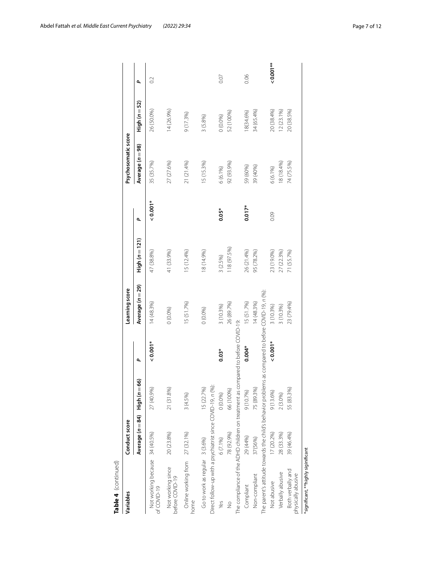| Table 4 (continued)                                                                           |                               |            |                                        |                  |                |          |                     |                   |           |
|-----------------------------------------------------------------------------------------------|-------------------------------|------------|----------------------------------------|------------------|----------------|----------|---------------------|-------------------|-----------|
| Variables                                                                                     | Conduct score                 |            |                                        | Learning score   |                |          | Psychosomatic score |                   |           |
|                                                                                               | Average (n = 84) High (n = 66 |            | ٩                                      | Average (n = 29) | High (n = 121) | ٩        | Average (n = 98)    | High ( $n = 52$ ) | ٩         |
| Not working because 34 (40.5%)<br>of COVID-19                                                 |                               | 27 (40.9%) | $0.001*$                               | 14(48.3%)        | 47 (38.8%)     | $0.001*$ | 35 (35.7%)          | 26 (50.0%)        | $\sim$    |
| Not working since<br>before COVID-19                                                          | 20 (23.8%)                    | 21 (31.8%) |                                        | 0(0.0%           | 41 (33.9%)     |          | 27 (27.6%)          | 14 (26.9%)        |           |
| Online working from 27 (32.1%)<br>nome                                                        |                               | 3(4.5%)    |                                        | 15 (51.7%)       | 5 (12.4%)      |          | 21 (21.4%)          | 9 (17.3%)         |           |
| Direct follow-up with a psychiatrist since COVID-19, n (%):<br>Go to work as regular 3 (3.6%) |                               | 15 (22.7%) |                                        | 0(0.0%)          | 18 (14.9%)     |          | 15 (15.3%)          | 3 (5.8%)          |           |
| Yes                                                                                           | 6 (7.1%)                      | 0(0.0%)    | $0.03*$                                | 3 (10.3%)        | 3 (2.5%)       | $0.05*$  | $6(6.1\%)$          | 0.096             | 0.07      |
| $\frac{1}{2}$                                                                                 | 78 (92.9%)                    | 66 (100%)  |                                        | 26 (89.7%)       | 118 (97.5%)    |          | 92 (93.9%)          | 52 (100%)         |           |
| The compliance of the ADHD children on treatment as com                                       |                               |            | pared to before COVID-19:              |                  |                |          |                     |                   |           |
| Compliant                                                                                     | 29 (44%)                      | 9 (10.7%)  | $0.004*$                               | 15 (51.7%)       | 26 (21.4%)     | $0.017*$ | 59 (60%)            | 8(34.6%)          | 0.06      |
| Non-compliant                                                                                 | 37(56%)                       | 75 (89.3%) |                                        | 14(48.3%)        | 95 (78.2%)     |          | 39 (40%)            | 34 (65.4%)        |           |
| The parent's attitude towards the child's behavior problems                                   |                               |            | as compared to before COVID-19, n (%): |                  |                |          |                     |                   |           |
| Not abusive                                                                                   | 17 (20.2%)                    | 9(13.6%)   | $0.001*$                               | 3 (10.3%)        | 23 (19.0%)     | 0.09     | $6(6.1\%)$          | 20 (38.4%)        | $0.001**$ |
| Verbally abusive                                                                              | 28 (33.3%)                    | 2(3.0%)    |                                        | 3 (10.3%)        | 27 (22.3%)     |          | 18 (18.4%)          | (2 (23.1%)        |           |
| Both verbally and<br>physically abusive                                                       | 39 (46.4%)                    | 55 (83.3%) |                                        | 23 (79.4%)       | 71 (55.7%)     |          | 74 (75.5%)          | 20 (38.5%)        |           |
| *significant, **highly siginificant                                                           |                               |            |                                        |                  |                |          |                     |                   |           |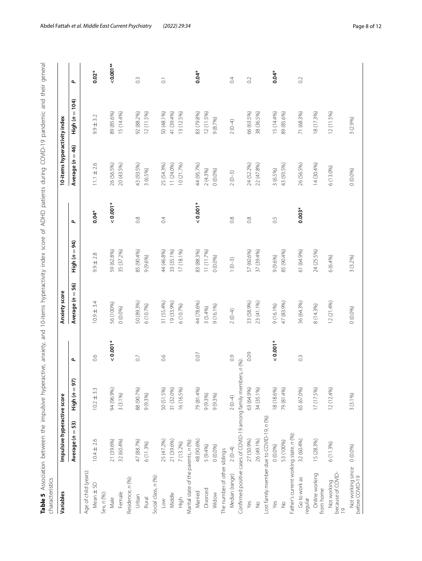<span id="page-7-0"></span>

|   | j | Ï | J | ; | j<br>,<br>J | $\frac{1}{2}$ | hyperactive anxiety and 10-items hyperactivity index score of ADHD patients during COVID-10 pandemic and thair on<br>j<br>5<br>5 | j | $\frac{1}{2}$<br>うりりり |  |  | יל.<br>אני המומר להומלא לא המומר לא המומר לא המומר לא המומר לא המומר לא המומר לא המומר לא המומר לא המומר לא המומר לא ה |  |  |
|---|---|---|---|---|-------------|---------------|----------------------------------------------------------------------------------------------------------------------------------|---|-----------------------|--|--|------------------------------------------------------------------------------------------------------------------------|--|--|
| j |   |   |   |   |             |               |                                                                                                                                  |   |                       |  |  |                                                                                                                        |  |  |

| Variables                                          | Impulsive hyperactive score                                       |                  |                  | Anxiety score    |                          |                  | 10-items hyperactivity index |                    |                          |
|----------------------------------------------------|-------------------------------------------------------------------|------------------|------------------|------------------|--------------------------|------------------|------------------------------|--------------------|--------------------------|
|                                                    | 53)<br>Ш<br>Average (n                                            | 57)<br>High (n = | $\mathbf{r}$     | Average (n = 56) | 94<br>$\mathsf{High}(n=$ | $\mathbf{r}$     | 46<br>Average ( $n =$        | $High (n = 104)$   | $\mathbf{r}$             |
| Age of child (years):                              |                                                                   |                  |                  |                  |                          |                  |                              |                    |                          |
| Mean ± SD                                          | $10.4 \pm 2.6$                                                    | $10.2 \pm 3.3$   | 0.6              | $10.9 \pm 3.4$   | $9.9 \pm 2.8$            | $0.04*$          | $11.1 \pm 2.6$               | 3.2<br>$9.9 \pm 7$ | $0.02*$                  |
| Sex, n (%):                                        |                                                                   |                  |                  |                  |                          |                  |                              |                    |                          |
| Male                                               | 21 (39.6%)                                                        | 94 (96.9%)       | $0.001*$         | 56 (100%)        | 59 (62.8%)               | $0.001*$         | 26 (56.5%)                   | 89 (85.6%)         | $-0.001**$               |
| Female                                             | 32 (60.4%)                                                        | $3(3.1\%)$       |                  | 0(0.0%)          | 35 (37.2%)               |                  | 20 (43.5%)                   | 15 (14.4%)         |                          |
| Residence, n (%):                                  |                                                                   |                  |                  |                  |                          |                  |                              |                    |                          |
| Urban                                              | 47 (88.7%)                                                        | 88 (90.7%)       | $\overline{0}$ . | 50 (89.3%)       | 85 (90.4%)               | 0.8              | 43 (93.5%)                   | 92 (88.2%)         | $\widetilde{\mathrm{C}}$ |
| Rural                                              | 6(11.3%)                                                          | $9(9.3\%)$       |                  | 6 (10.7%)        | 9(9.6%)                  |                  | 3(6.5%)                      | 12 (11.5%)         |                          |
| Social class, n (%):                               |                                                                   |                  |                  |                  |                          |                  |                              |                    |                          |
| $\geq$                                             | 25 (47.2%)                                                        | 50 (51.5%)       | 0.6              | 31 (55.4%)       | 44 (46.8%)               | 0.4              | 25 (54.3%)                   | 50 (48.1%)         | $\overline{\circ}$       |
| Middle                                             | 21 (39.6%)                                                        | 31 (32.0%)       |                  | 19 (33.9%)       | 33 (35.1%)               |                  | 11 (24.0%)                   | 41 (39.4%)         |                          |
| High                                               | 7 (13.2%)                                                         | 16 (16.5%)       |                  | 6(10.7%)         | 17 (18.1%)               |                  | 10 (21.7%)                   | 13 (12.5%)         |                          |
| Marital state of the parents, n (%):               |                                                                   |                  |                  |                  |                          |                  |                              |                    |                          |
| Married                                            | 48 (90.6%)                                                        | 79 (81.4%)       | 0.07             | 44 (78.6%)       | 83 (88.3%)               | $0.001*$         | 44 (95.7%)                   | 83 (79.8%)         | $0.04*$                  |
| Divorced                                           | 5 (9.4%)                                                          | 9(9.3%)          |                  | 3 (5.4%)         | 11 (11.7%)               |                  | 2(4.3%)                      | 12 (11.5%)         |                          |
| Widow                                              | 0(0.0%                                                            | 9 (9.3%)         |                  | 9 (16.1%)        | 0(0.0%)                  |                  | 0(0.0%)                      | 9(8.7%)            |                          |
| The number of other siblings                       |                                                                   |                  |                  |                  |                          |                  |                              |                    |                          |
| Median (range)                                     | $2(0-4)$                                                          | $2(0-4)$         | $\overline{0}$ . | $2(0-4)$         | $1(0-3)$                 | 0.8              | $2(0-3)$                     | $2(0-4)$           | 0.4                      |
|                                                    | Confirmed positive cases of COVID-19 among family members, n (%): |                  |                  |                  |                          |                  |                              |                    |                          |
| Yes                                                | 27 (50.9%)                                                        | 63 (64.9%)       | 0.09             | 33 (58.9%)       | 57 (60.6%)               | $0.\overline{8}$ | 24 (52.2%)                   | 66 (63.5%)         | 0.2                      |
| $\frac{1}{2}$                                      | 26 (49.1%)                                                        | 34 (35.1%)       |                  | 23 (41.1%)       | 37 (39.4%)               |                  | 22 (47.8%)                   | 38 (36.5%)         |                          |
|                                                    | Lost family member due to COVID-19, n (%):                        |                  |                  |                  |                          |                  |                              |                    |                          |
| Yes                                                | 0 (0.0%)                                                          | 18 (18.6%)       | $0.001*$         | 9(16.1%)         | 9(9.6%)                  | 0.5              | 3(6.5%)                      | 15 (14.4%)         | $0.04*$                  |
| $\frac{1}{2}$                                      | 53 (100%)                                                         | 79 (81.4%)       |                  | 47 (83.9%)       | 85 (90.4%)               |                  | 43 (93.5%)                   | 89 (85.6%)         |                          |
| Father's current working state, n (%):             |                                                                   |                  |                  |                  |                          |                  |                              |                    |                          |
| Go to work as<br>regular                           | 32 (60.4%)                                                        | 65 (67.0%)       | $0.\overline{3}$ | 36 (64.3%)       | 61 (64.9%)               | $0.003*$         | 26 (56.5%)                   | 71 (68.3%)         | 0.2                      |
| Online working<br>from home                        | 15 (28.3%)                                                        | 17 (17.5%)       |                  | 8 (14.3%)        | 24 (25.5%)               |                  | 14 (30.4%)                   | 18 (17.3%)         |                          |
| because of COVID-<br>Not working<br>$\overline{0}$ | 6(11.3%)                                                          | 12 (12.4%)       |                  | 12(21.4%)        | 6(6.4%)                  |                  | 6 (13.0%)                    | 12 (11.5%)         |                          |
| Not working since<br>before COVID-19               | (0.096)                                                           | $3(3.1\%)$       |                  | 0(0.0%)          | 3 (3.2%)                 |                  | 0(0.0%)                      | 3 (2.9%)           |                          |
|                                                    |                                                                   |                  |                  |                  |                          |                  |                              |                    |                          |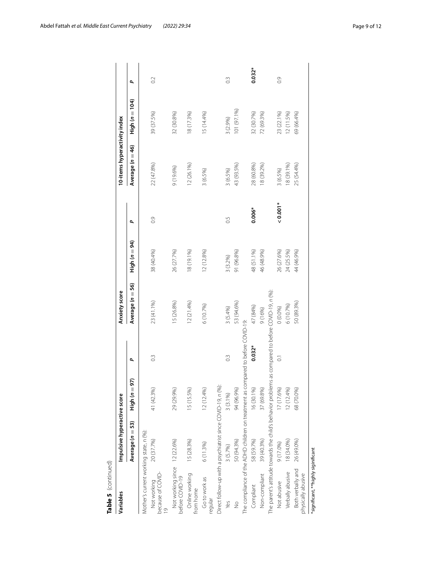| Table 5 (continued)                             |                                                                                  |                   |                  |                                        |               |          |                              |                          |                  |
|-------------------------------------------------|----------------------------------------------------------------------------------|-------------------|------------------|----------------------------------------|---------------|----------|------------------------------|--------------------------|------------------|
| Variables                                       | Impulsive hyperactive score                                                      |                   |                  | Anxiety score                          |               |          | 10-items hyperactivity index |                          |                  |
|                                                 | Average (n = 53)                                                                 | High ( $n = 97$ ) | ٩                | Average (n = 56)                       | High (n = 94) | ٩        | Average (n = 46)             | $\mathsf{High}\ (n=104)$ | ٩                |
| Mother's current working state, n (%):          |                                                                                  |                   |                  |                                        |               |          |                              |                          |                  |
| Not working<br>because of COVID-                | 20 (37.7%)                                                                       | 41 (42.3%)        | $0.\overline{3}$ | 23 (41.1%)                             | 38 (40.4%)    | 03       | 22 (47.8%)                   | 39 (37.5%)               | $\sim$           |
| Not working since 12 (22.6%)<br>before COVID-19 |                                                                                  | 29 (29.9%)        |                  | 15 (26.8%)                             | 26 (27.7%)    |          | 9 (19.6%)                    | 32 (30.8%)               |                  |
| Online working<br>from home                     | 15 (28.3%)                                                                       | 15 (15.5%)        |                  | 12(21.4%)                              | 18 (19.1%)    |          | 12 (26.1%)                   | 18 (17.3%)               |                  |
| Go to work as<br>regular                        | 6(11.3%)                                                                         | 12(12.4%)         |                  | 6(10.7%)                               | 12 (12.8%)    |          | 3 (6.5%)                     | 15(14.4%)                |                  |
|                                                 | Direct follow-up with a psychiatrist since COVID-19, n (%):                      |                   |                  |                                        |               |          |                              |                          |                  |
| Yes                                             | 3 (5.7%)                                                                         | $3(3.1\%)$        | $0.\overline{3}$ | 3(5.4%)                                | 3 (3.2%)      | С.       | 3(6.5%)                      | 3 (2.9%)                 | $\frac{3}{2}$    |
| $\frac{1}{2}$                                   | 50 (94.3%)                                                                       | 94 (96.9%)        |                  | 53 (94.6%)                             | 91 (96.8%)    |          | 43 (93.5%)                   | 101 (97.1%)              |                  |
|                                                 | The compliance of the ADHD children on treatment as compared to before COVID-19: |                   |                  |                                        |               |          |                              |                          |                  |
| Compliant                                       | 58 (59.7%)                                                                       | 16 (30.1%)        | $0.032*$         | 47 (84%)                               | 48 (51.1%)    | $0.006*$ | 28 (60.8%)                   | 32 (30.7%)               | $0.032*$         |
| Non-compliant                                   | 39 (40.3%)                                                                       | 37 (69.8%)        |                  | 9(16%)                                 | 46 (48.9%)    |          | 18 (39.2%)                   | 72 (69.3%)               |                  |
|                                                 | The parent's attitude towards the child's behavior problems                      |                   |                  | as compared to before COVID-19, n (%): |               |          |                              |                          |                  |
| Not abusive                                     | 9 (17.0%)                                                                        | 17 (17.6%)        | $\overline{0}$   | 0(0.0%)                                | 26 (27.6%)    | $0.001*$ | 3(6.5%)                      | 23 (22.1%)               | $\overline{0}$ . |
| Verbally abusive                                | 18 (34.0%)                                                                       | 12(12.4%)         |                  | 6(10.7%)                               | 24 (25.5%)    |          | 8 (39.1%)                    | 12 (11.5%)               |                  |
| Both verbally and<br>physically abusive         | 26 (49.0%)                                                                       | 68 (70.0%)        |                  | 50 (89.3%)                             | 44 (46.9%)    |          | 25 (54.4%)                   | 69 (66.4%)               |                  |
| *significant, **highly siginificant             |                                                                                  |                   |                  |                                        |               |          |                              |                          |                  |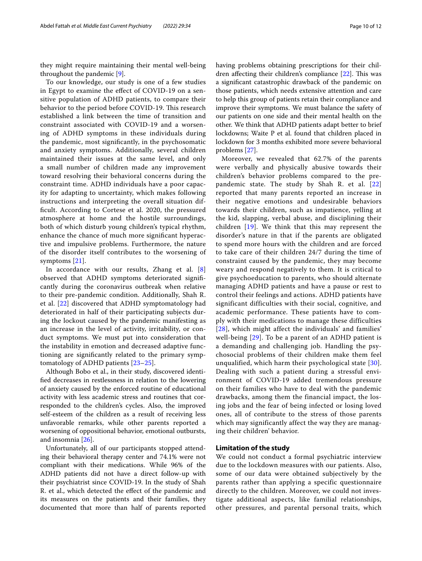they might require maintaining their mental well-being throughout the pandemic [[9\]](#page-10-8).

To our knowledge, our study is one of a few studies in Egypt to examine the efect of COVID-19 on a sensitive population of ADHD patients, to compare their behavior to the period before COVID-19. This research established a link between the time of transition and constraint associated with COVID-19 and a worsening of ADHD symptoms in these individuals during the pandemic, most signifcantly, in the psychosomatic and anxiety symptoms. Additionally, several children maintained their issues at the same level, and only a small number of children made any improvement toward resolving their behavioral concerns during the constraint time. ADHD individuals have a poor capacity for adapting to uncertainty, which makes following instructions and interpreting the overall situation diffcult. According to Cortese et al. 2020, the pressured atmosphere at home and the hostile surroundings, both of which disturb young children's typical rhythm, enhance the chance of much more signifcant hyperactive and impulsive problems. Furthermore, the nature of the disorder itself contributes to the worsening of symptoms [[21](#page-10-20)].

In accordance with our results, Zhang et al. [\[8](#page-10-7)] observed that ADHD symptoms deteriorated signifcantly during the coronavirus outbreak when relative to their pre-pandemic condition. Additionally, Shah R. et al. [\[22](#page-10-21)] discovered that ADHD symptomatology had deteriorated in half of their participating subjects during the lockout caused by the pandemic manifesting as an increase in the level of activity, irritability, or conduct symptoms. We must put into consideration that the instability in emotion and decreased adaptive functioning are signifcantly related to the primary symptomatology of ADHD patients [[23](#page-10-22)[–25](#page-11-0)].

Although Bobo et al., in their study, discovered identifed decreases in restlessness in relation to the lowering of anxiety caused by the enforced routine of educational activity with less academic stress and routines that corresponded to the children's cycles. Also, the improved self-esteem of the children as a result of receiving less unfavorable remarks, while other parents reported a worsening of oppositional behavior, emotional outbursts, and insomnia [[26](#page-11-1)].

Unfortunately, all of our participants stopped attending their behavioral therapy center and 74.1% were not compliant with their medications. While 96% of the ADHD patients did not have a direct follow-up with their psychiatrist since COVID-19. In the study of Shah R. et al., which detected the efect of the pandemic and its measures on the patients and their families, they documented that more than half of parents reported having problems obtaining prescriptions for their children affecting their children's compliance  $[22]$  $[22]$ . This was a signifcant catastrophic drawback of the pandemic on those patients, which needs extensive attention and care to help this group of patients retain their compliance and improve their symptoms. We must balance the safety of our patients on one side and their mental health on the other. We think that ADHD patients adapt better to brief lockdowns; Waite P et al. found that children placed in lockdown for 3 months exhibited more severe behavioral problems [[27](#page-11-2)].

Moreover, we revealed that 62.7% of the parents were verbally and physically abusive towards their children's behavior problems compared to the prepandemic state. The study by Shah R. et al. [[22](#page-10-21)] reported that many parents reported an increase in their negative emotions and undesirable behaviors towards their children, such as impatience, yelling at the kid, slapping, verbal abuse, and disciplining their children [\[19\]](#page-10-18). We think that this may represent the disorder's nature in that if the parents are obligated to spend more hours with the children and are forced to take care of their children 24/7 during the time of constraint caused by the pandemic, they may become weary and respond negatively to them. It is critical to give psychoeducation to parents, who should alternate managing ADHD patients and have a pause or rest to control their feelings and actions. ADHD patients have significant difficulties with their social, cognitive, and academic performance. These patients have to comply with their medications to manage these difficulties [[28](#page-11-3)], which might affect the individuals' and families' well-being [[29\]](#page-11-4). To be a parent of an ADHD patient is a demanding and challenging job. Handling the psychosocial problems of their children make them feel unqualified, which harm their psychological state [[30\]](#page-11-5). Dealing with such a patient during a stressful environment of COVID-19 added tremendous pressure on their families who have to deal with the pandemic drawbacks, among them the financial impact, the losing jobs and the fear of being infected or losing loved ones, all of contribute to the stress of those parents which may significantly affect the way they are managing their children' behavior.

#### **Limitation of the study**

We could not conduct a formal psychiatric interview due to the lockdown measures with our patients. Also, some of our data were obtained subjectively by the parents rather than applying a specific questionnaire directly to the children. Moreover, we could not investigate additional aspects, like familial relationships, other pressures, and parental personal traits, which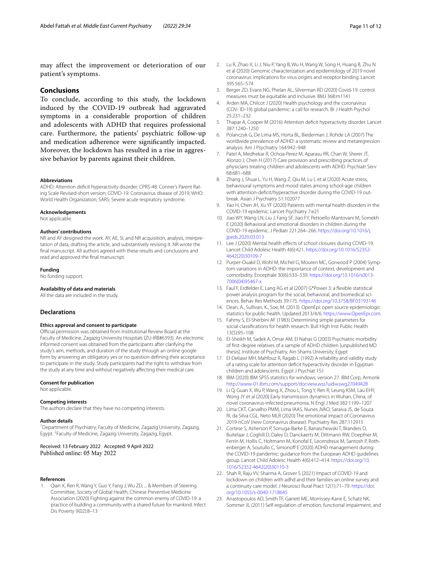may affect the improvement or deterioration of our patient's symptoms.

#### **Conclusions**

To conclude, according to this study, the lockdown induced by the COVID-19 outbreak had aggravated symptoms in a considerable proportion of children and adolescents with ADHD that requires professional care. Furthermore, the patients' psychiatric follow-up and medication adherence were signifcantly impacted. Moreover, the lockdown has resulted in a rise in aggressive behavior by parents against their children.

#### **Abbreviations**

ADHD: Attention deficit hyperactivity disorder; CPRS-48: Conner's Parent Rating Scale Revised-short version; COVID-19: Coronavirus disease of 2019; WHO: World Health Organization; SARS: Severe acute respiratory syndrome.

#### **Acknowledgements**

Not applicable.

#### **Authors' contributions**

NR and AY designed the work. AY, AE, SI, and NR acquisition, analysis, interpretation of data, drafting the article, and substantively revising it. NR wrote the fnal manuscript. All authors agreed with these results and conclusions and read and approved the fnal manuscript.

#### **Funding**

No funding support.

#### **Availability of data and materials**

All the data are included in the study.

#### **Declarations**

#### **Ethics approval and consent to participate**

Official permission was obtained from Institutional Review Board at the Faculty of Medicine, Zagazig University Hospitals (ZU-IRB#6393). An electronic informed consent was obtained from the participants after clarifying the study's aim, methods, and duration of the study through an online google form by answering an obligatory yes or no question defning their acceptance to participate in the study. Study participants had the right to withdraw from the study at any time and without negatively affecting their medical care.

#### **Consent for publication**

Not applicable.

#### **Competing interests**

The authors declare that they have no competing interests.

#### **Author details**

<sup>1</sup> Department of Psychiatry, Faculty of Medicine, Zagazig University, Zagazig, Egypt. <sup>2</sup> Faculty of Medicine, Zagazig University, Zagazig, Egypt.

# Received: 13 February 2022 Accepted: 9 April 2022

#### **References**

<span id="page-10-0"></span>Qian X, Ren R, Wang Y, Guo Y, Fang J, Wu ZD, ... & Members of Steering Committee, Society of Global Health, Chinese Preventive Medicine Association (2020) Fighting against the common enemy of COVID-19: a practice of building a community with a shared future for mankind. Infect Dis Poverty 9(02):8–13

- <span id="page-10-1"></span>2. Lu R, Zhao X, Li J, Niu P, Yang B, Wu H, Wang W, Song H, Huang B, Zhu N et al (2020) Genomic characterization and epidemiology of 2019 novel coronavirus: implications for virus origins and receptor binding. Lancet 395:565–574
- <span id="page-10-2"></span>3. Berger ZD, Evans NG, Phelan AL, Silverman RD (2020) Covid-19: control measures must be equitable and inclusive. BMJ 368:m1141
- <span id="page-10-3"></span>4. Arden MA, Chilcot J (2020) Health psychology and the coronavirus (COV- ID-19) global pandemic: a call for research. Br J Health Psychol 25:231–232
- <span id="page-10-4"></span>5. Thapar A, Cooper M (2016) Attention defcit hyperactivity disorder. Lancet 387:1240–1250
- <span id="page-10-5"></span>6. Polanczyk G, De Lima MS, Horta BL, Biederman J, Rohde LA (2007) The worldwide prevalence of ADHD: a systematic review and metaregression analysis. Am J Psychiatry 164:942–948
- <span id="page-10-6"></span>7. Patel A, Medhekar R, Ochoa-Perez M, Aparasu RR, Chan W, Sherer JT, Alonzo J, Chen H (2017) Care provision and prescribing practices of physicians treating children and adolescents with ADHD. Psychiatr Serv 68:681–688
- <span id="page-10-7"></span>8. Zhang J, Shuai L, Yu H, Wang Z, Qiu M, Lu L et al (2020) Acute stress, behavioural symptoms and mood states among school-age children with attention-defcit/hyperactive disorder during the COVID-19 outbreak. Asian J Psychiatry 51:102077
- <span id="page-10-8"></span>Yao H, Chen JH, Xu YF (2020) Patients with mental health disorders in the COVID-19 epidemic. Lancet Psychiatry 7:e21
- <span id="page-10-9"></span>10. Jiao WY, Wang LN, Liu J, Fang SF, Jiao FY, Pettoello-Mantovani M, Somekh E (2020) Behavioral and emotional disorders in children during the COVID-19 epidemic. J Pediatr 221:264–266. [https://doi.org/10.1016/j.](https://doi.org/10.1016/j.jpeds.2020.03.013) [jpeds.2020.03.013](https://doi.org/10.1016/j.jpeds.2020.03.013)
- <span id="page-10-10"></span>11. Lee J (2020) Mental health efects of school closures during COVID-19. Lancet Child Adolesc Health 4(6):421. [https://doi.org/10.1016/S2352-](https://doi.org/10.1016/S2352-4642(20)30109-7) [4642\(20\)30109-7](https://doi.org/10.1016/S2352-4642(20)30109-7)
- <span id="page-10-11"></span>12. Purper-Ouakil D, Wohl M, Michel G, Mouren MC, Gorwood P (2004) Symptom variations in ADHD: the importance of context, development and comorbidity. Encephale 30(6):533–539. [https://doi.org/10.1016/s0013-](https://doi.org/10.1016/s0013-7006(04)95467-x) [7006\(04\)95467-x](https://doi.org/10.1016/s0013-7006(04)95467-x)
- <span id="page-10-12"></span>13. Faul F, Erdfelder E, Lang AG et al (2007) G\*Power 3: a fexible statistical power analysis program for the social, behavioral, and biomedical sciences. Behav Res Methods 39:175. <https://doi.org/10.3758/BF03193146>
- <span id="page-10-13"></span>14. Dean, A., Sullivan, K., Soe, M. (2013). OpenEpi: open source epidemiologic statistics for public health. Updated 2013/4/6. [https://www.OpenEpi.com](https://www.openepi.com).
- <span id="page-10-14"></span>15. Fahmy S, El-Sherbini AF (1983) Determining simple parameters for social classifcations for health research. Bull High Inst Public Health 13(5):95–108
- <span id="page-10-15"></span>16. El-Sheikh M, Sadek A, Omar AM, El Nahas G (2003) Psychiatric morbidity of frst-degree relatives of a sample of ADHD children [unpublished MD thesis]. Institute of Psychiatry, Ain Shams University, Egypt
- <span id="page-10-16"></span>17. El-Deliawi MH, Mahfouz R, Ragab L (1992) A reliability and validity study of a rating scale for attention defcit hyperactivity disorder in Egyptian children and adolescents. Egypt J Psychiat 15:l
- <span id="page-10-17"></span>18. IBM (2020) IBM SPSS statistics for windows, version 27. IBM Corp, Armonk [http://www-01.ibm.com/support/docview.wss?uid](http://www-01.ibm.com/support/docview.wss?uid=swg27049428)=swg27049428
- <span id="page-10-18"></span>19. Li Q, Guan X, Wu P, Wang X, Zhou L, Tong Y, Ren R, Leung KSM, Lau EHY, Wong JY et al (2020) Early transmission dynamics in Wuhan, China, of novel coronavirus-infected pneumonia. N Engl J Med 382:1199–1207
- <span id="page-10-19"></span>20. Lima CKT, Carvalho PMM, Lima IAAS, Nunes JVAO, Saraiva JS, de Souza RI, da Silva CGL, Neto MLR (2020) The emotional impact of Coronavirus 2019-nCoV (new Coronavirus disease). Psychiatry Res 287:112915
- <span id="page-10-20"></span>21. Cortese S, Asherson P, Sonuga-Barke E, Banaschewski T, Brandeis D, Buitelaar J, Coghill D, Daley D, Danckaerts M, Dittmann RW, Doepfner M, Ferrin M, Hollis C, Holtmann M, Konofal E, Lecendreux M, Santosh P, Rothenberger A, Soutullo C, Simonoff E (2020) ADHD management during the COVID-19 pandemic: guidance from the European ADHD guidelines group. Lancet Child Adolesc Health 4(6):412–414. [https://doi.org/10.](https://doi.org/10.1016/S2352-4642(20)30110-3) [1016/S2352-4642\(20\)30110-3](https://doi.org/10.1016/S2352-4642(20)30110-3)
- <span id="page-10-21"></span>22. Shah R, Raju VV, Sharma A, Grover S (2021) Impact of COVID-19 and lockdown on children with adhd and their families-an online survey and a continuity care model. J Neurosci Rural Pract 12(1):71–79. [https://doi.](https://doi.org/10.1055/s-0040-1718645) [org/10.1055/s-0040-1718645](https://doi.org/10.1055/s-0040-1718645)
- <span id="page-10-22"></span>23. Anastopoulos AD, Smith TF, Garrett ME, Morrissey-Kane E, Schatz NK, Sommer JL (2011) Self-regulation of emotion, functional impairment, and